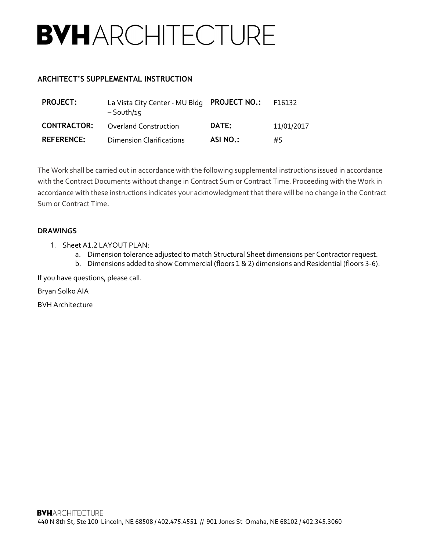## **BVHARCHITECTURE**

## **ARCHITECT'S SUPPLEMENTAL INSTRUCTION**

| <b>PROJECT:</b>    | La Vista City Center - MU Bldg PROJECT NO.:<br>$-$ South/15 |          | F16132     |
|--------------------|-------------------------------------------------------------|----------|------------|
| <b>CONTRACTOR:</b> | <b>Overland Construction</b>                                | DATE:    | 11/01/2017 |
| <b>REFERENCE:</b>  | <b>Dimension Clarifications</b>                             | ASI NO.: | #5         |

The Work shall be carried out in accordance with the following supplemental instructions issued in accordance with the Contract Documents without change in Contract Sum or Contract Time. Proceeding with the Work in accordance with these instructions indicates your acknowledgment that there will be no change in the Contract Sum or Contract Time.

## **DRAWINGS**

- 1. Sheet A1.2 LAYOUT PLAN:
	- a. Dimension tolerance adjusted to match Structural Sheet dimensions per Contractor request.
	- b. Dimensions added to show Commercial (floors 1 & 2) dimensions and Residential (floors 3-6).

If you have questions, please call.

Bryan Solko AIA

BVH Architecture